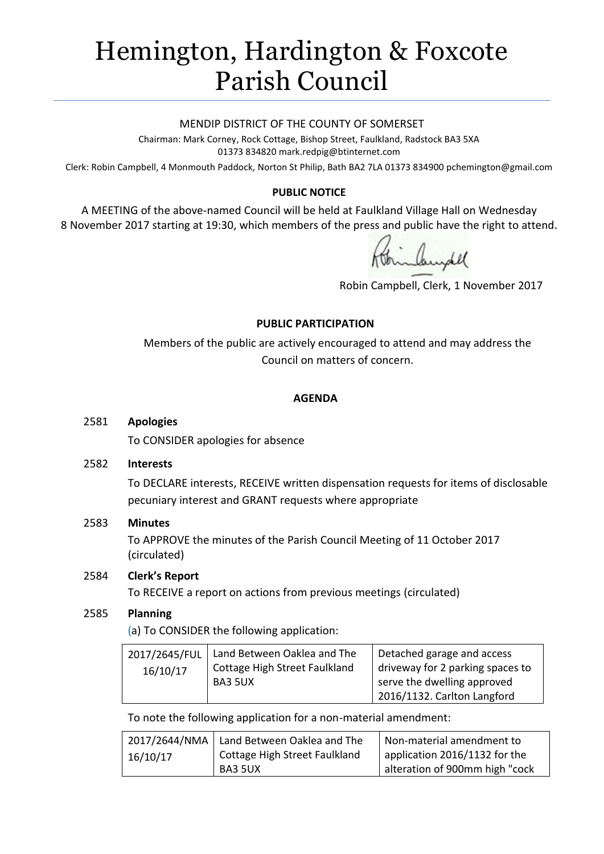# Hemington, Hardington & Foxcote Parish Council

#### MENDIP DISTRICT OF THE COUNTY OF SOMERSET

Chairman: Mark Corney, Rock Cottage, Bishop Street, Faulkland, Radstock BA3 5XA 01373 834820 mark.redpig@btinternet.com

Clerk: Robin Campbell, 4 Monmouth Paddock, Norton St Philip, Bath BA2 7LA 01373 834900 [pchemington@gmail.com](mailto:pchemington@gmail.com)

## **PUBLIC NOTICE**

A MEETING of the above-named Council will be held at Faulkland Village Hall on Wednesday 8 November 2017 starting at 19:30, which members of the press and public have the right to attend.

Robin Campbell, Clerk, 1 November 2017

#### **PUBLIC PARTICIPATION**

Members of the public are actively encouraged to attend and may address the Council on matters of concern.

#### **AGENDA**

#### 2581 **Apologies**

To CONSIDER apologies for absence

#### 2582 **Interests**

To DECLARE interests, RECEIVE written dispensation requests for items of disclosable pecuniary interest and GRANT requests where appropriate

## 2583 **Minutes**

To APPROVE the minutes of the Parish Council Meeting of 11 October 2017 (circulated)

## 2584 **Clerk's Report**

To RECEIVE a report on actions from previous meetings (circulated)

## 2585 **Planning**

(a) To CONSIDER the following application:

| 2017/2645/FUL | Land Between Oaklea and The   | Detached garage and access       |
|---------------|-------------------------------|----------------------------------|
| 16/10/17      | Cottage High Street Faulkland | driveway for 2 parking spaces to |
|               | BA3 5UX                       | serve the dwelling approved      |
|               |                               | 2016/1132. Carlton Langford      |

To note the following application for a non-material amendment:

|          | 2017/2644/NMA   Land Between Oaklea and The | Non-material amendment to      |
|----------|---------------------------------------------|--------------------------------|
| 16/10/17 | Cottage High Street Faulkland               | application 2016/1132 for the  |
|          | BA3 5UX                                     | alteration of 900mm high "cock |